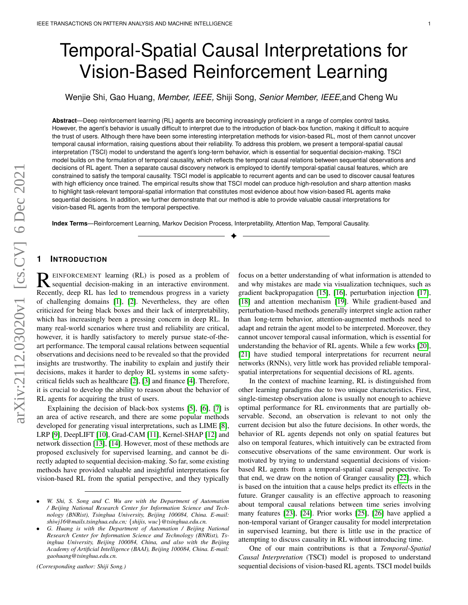# Temporal-Spatial Causal Interpretations for Vision-Based Reinforcement Learning

Wenjie Shi, Gao Huang, *Member, IEEE,* Shiji Song, *Senior Member, IEEE,*and Cheng Wu

**Abstract**—Deep reinforcement learning (RL) agents are becoming increasingly proficient in a range of complex control tasks. However, the agent's behavior is usually difficult to interpret due to the introduction of black-box function, making it difficult to acquire the trust of users. Although there have been some interesting interpretation methods for vision-based RL, most of them cannot uncover temporal causal information, raising questions about their reliability. To address this problem, we present a temporal-spatial causal interpretation (TSCI) model to understand the agent's long-term behavior, which is essential for sequential decision-making. TSCI model builds on the formulation of temporal causality, which reflects the temporal causal relations between sequential observations and decisions of RL agent. Then a separate causal discovery network is employed to identify temporal-spatial causal features, which are constrained to satisfy the temporal causality. TSCI model is applicable to recurrent agents and can be used to discover causal features with high efficiency once trained. The empirical results show that TSCI model can produce high-resolution and sharp attention masks to highlight task-relevant temporal-spatial information that constitutes most evidence about how vision-based RL agents make sequential decisions. In addition, we further demonstrate that our method is able to provide valuable causal interpretations for vision-based RL agents from the temporal perspective.

✦

**Index Terms**—Reinforcement Learning, Markov Decision Process, Interpretability, Attention Map, Temporal Causality.

## **1 INTRODUCTION**

**REINFORCEMENT learning (RL)** is posed as a problem of sequential decision-making in an interactive environment. sequential decision-making in an interactive environment. Recently, deep RL has led to tremendous progress in a variety of challenging domains [\[1\]](#page-11-0), [\[2\]](#page-11-1). Nevertheless, they are often criticized for being black boxes and their lack of interpretability, which has increasingly been a pressing concern in deep RL. In many real-world scenarios where trust and reliability are critical, however, it is hardly satisfactory to merely pursue state-of-theart performance. The temporal causal relations between sequential observations and decisions need to be revealed so that the provided insights are trustworthy. The inability to explain and justify their decisions, makes it harder to deploy RL systems in some safetycritical fields such as healthcare [\[2\]](#page-11-1), [\[3\]](#page-11-2) and finance [\[4\]](#page-11-3). Therefore, it is crucial to develop the ability to reason about the behavior of RL agents for acquiring the trust of users.

Explaining the decision of black-box systems [\[5\]](#page-11-4), [\[6\]](#page-11-5), [\[7\]](#page-11-6) is an area of active research, and there are some popular methods developed for generating visual interpretations, such as LIME [\[8\]](#page-11-7), LRP [\[9\]](#page-11-8), DeepLIFT [\[10\]](#page-11-9), Grad-CAM [\[11\]](#page-11-10), Kernel-SHAP [\[12\]](#page-11-11) and network dissection [\[13\]](#page-11-12), [\[14\]](#page-11-13). However, most of these methods are proposed exclusively for supervised learning, and cannot be directly adapted to sequential decision-making. So far, some existing methods have provided valuable and insightful interpretations for vision-based RL from the spatial perspective, and they typically

*(Corresponding author: Shiji Song.)*

focus on a better understanding of what information is attended to and why mistakes are made via visualization techniques, such as gradient backpropagation [\[15\]](#page-11-14), [\[16\]](#page-11-15), perturbation injection [\[17\]](#page-11-16), [\[18\]](#page-11-17) and attention mechanism [\[19\]](#page-12-0). While gradient-based and perturbation-based methods generally interpret single action rather than long-term behavior, attention-augmented methods need to adapt and retrain the agent model to be interpreted. Moreover, they cannot uncover temporal causal information, which is essential for understanding the behavior of RL agents. While a few works [\[20\]](#page-12-1), [\[21\]](#page-12-2) have studied temporal interpretations for recurrent neural networks (RNNs), very little work has provided reliable temporalspatial interpretations for sequential decisions of RL agents.

In the context of machine learning, RL is distinguished from other learning paradigms due to two unique characteristics. First, single-timestep observation alone is usually not enough to achieve optimal performance for RL environments that are partially observable. Second, an observation is relevant to not only the current decision but also the future decisions. In other words, the behavior of RL agents depends not only on spatial features but also on temporal features, which intuitively can be extracted from consecutive observations of the same environment. Our work is motivated by trying to understand sequential decisions of visionbased RL agents from a temporal-spatial causal perspective. To that end, we draw on the notion of Granger causality [\[22\]](#page-12-3), which is based on the intuition that a cause helps predict its effects in the future. Granger causality is an effective approach to reasoning about temporal causal relations between time series involving many features [\[23\]](#page-12-4), [\[24\]](#page-12-5). Prior works [\[25\]](#page-12-6), [\[26\]](#page-12-7) have applied a non-temporal variant of Granger causality for model interpretation in supervised learning, but there is little use in the practice of attempting to discuss causality in RL without introducing time.

One of our main contributions is that a *Temporal-Spatial Causal Interpretation* (TSCI) model is proposed to understand sequential decisions of vision-based RL agents. TSCI model builds

<sup>•</sup> *W. Shi, S. Song and C. Wu are with the Department of Automation / Beijing National Research Center for Information Science and Technology (BNRist), Tsinghua University, Beijing 100084, China. E-mail: shiwj16@mails.tsinghua.edu.cn;* {*shijis, wuc*}*@tsinghua.edu.cn.*

<sup>•</sup> *G. Huang is with the Department of Automation / Beijing National Research Center for Information Science and Technology (BNRist), Tsinghua University, Beijing 100084, China, and also with the Beijing Academy of Artificial Intelligence (BAAI), Beijing 100084, China. E-mail: gaohuang@tsinghua.edu.cn.*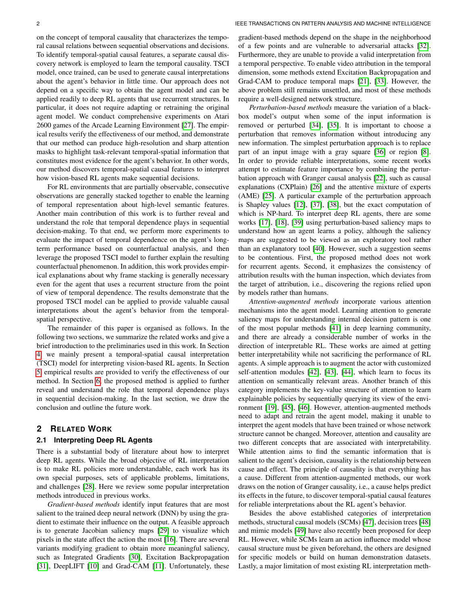on the concept of temporal causality that characterizes the temporal causal relations between sequential observations and decisions. To identify temporal-spatial causal features, a separate causal discovery network is employed to learn the temporal causality. TSCI model, once trained, can be used to generate causal interpretations about the agent's behavior in little time. Our approach does not depend on a specific way to obtain the agent model and can be applied readily to deep RL agents that use recurrent structures. In particular, it does not require adapting or retraining the original agent model. We conduct comprehensive experiments on Atari 2600 games of the Arcade Learning Environment [\[27\]](#page-12-8). The empirical results verify the effectiveness of our method, and demonstrate that our method can produce high-resolution and sharp attention masks to highlight task-relevant temporal-spatial information that constitutes most evidence for the agent's behavior. In other words, our method discovers temporal-spatial causal features to interpret how vision-based RL agents make sequential decisions.

For RL environments that are partially observable, consecutive observations are generally stacked together to enable the learning of temporal representation about high-level semantic features. Another main contribution of this work is to further reveal and understand the role that temporal dependence plays in sequential decision-making. To that end, we perform more experiments to evaluate the impact of temporal dependence on the agent's longterm performance based on counterfactual analysis, and then leverage the proposed TSCI model to further explain the resulting counterfactual phenomenon. In addition, this work provides empirical explanations about why frame stacking is generally necessary even for the agent that uses a recurrent structure from the point of view of temporal dependence. The results demonstrate that the proposed TSCI model can be applied to provide valuable causal interpretations about the agent's behavior from the temporalspatial perspective.

The remainder of this paper is organised as follows. In the following two sections, we summarize the related works and give a brief introduction to the preliminaries used in this work. In Section [4,](#page-2-0) we mainly present a temporal-spatial causal interpretation (TSCI) model for interpreting vision-based RL agents. In Section [5,](#page-4-0) empirical results are provided to verify the effectiveness of our method. In Section [6,](#page-7-0) the proposed method is applied to further reveal and understand the role that temporal dependence plays in sequential decision-making. In the last section, we draw the conclusion and outline the future work.

## **2 RELATED WORK**

#### **2.1 Interpreting Deep RL Agents**

There is a substantial body of literature about how to interpret deep RL agents. While the broad objective of RL interpretation is to make RL policies more understandable, each work has its own special purposes, sets of applicable problems, limitations, and challenges [\[28\]](#page-12-9). Here we review some popular interpretation methods introduced in previous works.

*Gradient-based methods* identify input features that are most salient to the trained deep neural network (DNN) by using the gradient to estimate their influence on the output. A feasible approach is to generate Jacobian saliency maps [\[29\]](#page-12-10) to visualize which pixels in the state affect the action the most [\[16\]](#page-11-15). There are several variants modifying gradient to obtain more meaningful saliency, such as Integrated Gradients [\[30\]](#page-12-11), Excitation Backpropagation [\[31\]](#page-12-12), DeepLIFT [\[10\]](#page-11-9) and Grad-CAM [\[11\]](#page-11-10). Unfortunately, these

gradient-based methods depend on the shape in the neighborhood of a few points and are vulnerable to adversarial attacks [\[32\]](#page-12-13). Furthermore, they are unable to provide a valid interpretation from a temporal perspective. To enable video attribution in the temporal dimension, some methods extend Excitation Backpropagation and Grad-CAM to produce temporal maps [\[21\]](#page-12-2), [\[33\]](#page-12-14). However, the above problem still remains unsettled, and most of these methods require a well-designed network structure.

*Perturbation-based methods* measure the variation of a blackbox model's output when some of the input information is removed or perturbed [\[34\]](#page-12-15), [\[35\]](#page-12-16). It is important to choose a perturbation that removes information without introducing any new information. The simplest perturbation approach is to replace part of an input image with a gray square [\[36\]](#page-12-17) or region [\[8\]](#page-11-7). In order to provide reliable interpretations, some recent works attempt to estimate feature importance by combining the perturbation approach with Granger causal analysis [\[22\]](#page-12-3), such as causal explanations (CXPlain) [\[26\]](#page-12-7) and the attentive mixture of experts (AME) [\[25\]](#page-12-6). A particular example of the perturbation approach is Shapley values [\[12\]](#page-11-11), [\[37\]](#page-12-18), [\[38\]](#page-12-19), but the exact computation of which is NP-hard. To interpret deep RL agents, there are some works [\[17\]](#page-11-16), [\[18\]](#page-11-17), [\[39\]](#page-12-20) using perturbation-based saliency maps to understand how an agent learns a policy, although the saliency maps are suggested to be viewed as an exploratory tool rather than an explanatory tool [\[40\]](#page-12-21). However, such a suggestion seems to be contentious. First, the proposed method does not work for recurrent agents. Second, it emphasizes the consistency of attribution results with the human inspection, which deviates from the target of attribution, i.e., discovering the regions relied upon by models rather than humans.

*Attention-augmented methods* incorporate various attention mechanisms into the agent model. Learning attention to generate saliency maps for understanding internal decision pattern is one of the most popular methods [\[41\]](#page-12-22) in deep learning community, and there are already a considerable number of works in the direction of interpretable RL. These works are aimed at getting better interpretability while not sacrificing the performance of RL agents. A simple approach is to augment the actor with customized self-attention modules [\[42\]](#page-12-23), [\[43\]](#page-12-24), [\[44\]](#page-12-25), which learn to focus its attention on semantically relevant areas. Another branch of this category implements the key-value structure of attention to learn explainable policies by sequentially querying its view of the environment [\[19\]](#page-12-0), [\[45\]](#page-12-26), [\[46\]](#page-12-27). However, attention-augmented methods need to adapt and retrain the agent model, making it unable to interpret the agent models that have been trained or whose network structure cannot be changed. Moreover, attention and causality are two different concepts that are associated with interpretability. While attention aims to find the semantic information that is salient to the agent's decision, causality is the relationship between cause and effect. The principle of causality is that everything has a cause. Different from attention-augmented methods, our work draws on the notion of Granger causality, i.e., a cause helps predict its effects in the future, to discover temporal-spatial causal features for reliable interpretations about the RL agent's behavior.

Besides the above established categories of interpretation methods, structural causal models (SCMs) [\[47\]](#page-12-28), decision trees [\[48\]](#page-12-29) and mimic models [\[49\]](#page-12-30) have also recently been proposed for deep RL. However, while SCMs learn an action influence model whose causal structure must be given beforehand, the others are designed for specific models or build on human demonstration datasets. Lastly, a major limitation of most existing RL interpretation meth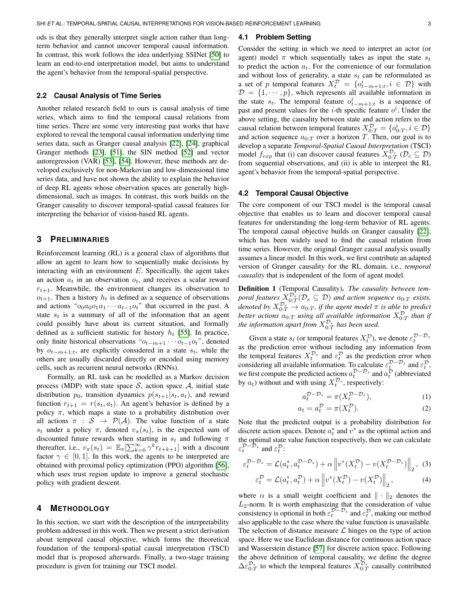ods is that they generally interpret single action rather than longterm behavior and cannot uncover temporal causal information. In contrast, this work follows the idea underlying SSINet [\[50\]](#page-12-31) to learn an end-to-end interpretation model, but aims to understand the agent's behavior from the temporal-spatial perspective.

#### **2.2 Causal Analysis of Time Series**

Another related research field to ours is causal analysis of time series, which aims to find the temporal causal relations from time series. There are some very interesting past works that have explored to reveal the temporal causal information underlying time series data, such as Granger causal analysis [\[22\]](#page-12-3), [\[24\]](#page-12-5), graphical Granger methods [\[23\]](#page-12-4), [\[51\]](#page-12-32), the SIN method [\[52\]](#page-12-33) and vector autoregression (VAR) [\[53\]](#page-12-34), [\[54\]](#page-12-35). However, these methods are developed exclusively for non-Markovian and low-dimensional time series data, and have not shown the ability to explain the behavior of deep RL agents whose observation spaces are generally highdimensional, such as images. In contrast, this work builds on the Granger causality to discover temporal-spatial causal features for interpreting the behavior of vision-based RL agents.

## **3 PRELIMINARIES**

Reinforcement learning (RL) is a general class of algorithms that allow an agent to learn how to sequentially make decisions by interacting with an environment  $E$ . Specifically, the agent takes an action  $a_t$  in an observation  $o_t$ , and receives a scalar reward  $r_{t+1}$ . Meanwhile, the environment changes its observation to  $o_{t+1}$ . Then a history  $h_t$  is defined as a sequence of observations and actions " $o_0a_0o_1a_1 \cdots a_{t-1}o_t$ " that occurred in the past. A state  $s_t$  is a summary of all of the information that an agent could possibly have about its current situation, and formally defined as a sufficient statistic for history  $h_t$  [\[55\]](#page-12-36). In practice, only finite historical observations " $o_{t-m+1} \cdots o_{t-1}o_t$ ", denoted by  $o_{t-m+1:t}$ , are explicitly considered in a state  $s_t$ , while the others are usually discarded directly or encoded using memory cells, such as recurrent neural networks (RNNs).

Formally, an RL task can be modelled as a Markov decision process (MDP) with state space  $S$ , action space  $A$ , initial state distribution  $p_0$ , transition dynamics  $p(s_{t+1}|s_t, a_t)$ , and reward function  $r_{t+1} = r(s_t, a_t)$ . An agent's behavior is defined by a policy  $\pi$ , which maps a state to a probability distribution over all actions  $\pi : S \to \mathcal{P}(\mathcal{A})$ . The value function of a state  $s_t$  under a policy  $\pi$ , denoted  $v_\pi(s_t)$ , is the expected sum of discounted future rewards when starting in  $s_t$  and following  $\pi$ thereafter, i.e.,  $v_{\pi}(s_t) = \mathbb{E}_{\pi}[\sum_{k=0}^{\infty} \gamma^k r_{t+k+1}]$  with a discount factor  $\gamma \in [0, 1]$ . In this work, the agents to be interpreted are obtained with proximal policy optimization (PPO) algorithm [\[56\]](#page-12-37), which uses trust region update to improve a general stochastic policy with gradient descent.

## <span id="page-2-0"></span>**4 METHODOLOGY**

In this section, we start with the description of the interpretability problem addressed in this work. Then we present a strict derivation about temporal causal objective, which forms the theoretical foundation of the temporal-spatial causal interpretation (TSCI) model that is proposed afterwards. Finally, a two-stage training procedure is given for training our TSCI model.

## **4.1 Problem Setting**

Consider the setting in which we need to interpret an actor (or agent) model  $\pi$  which sequentially takes as input the state  $s_t$ to predict the action  $a_t$ . For the convenience of our formulation and without loss of generality, a state  $s_t$  can be reformulated as a set of p temporal features  $X_t^{\mathcal{D}} = \{o_{t-m+1:t}^i, i \in \mathcal{D}\}\$  with  $\mathcal{D} = \{1, \cdots, p\}$ , which represents all available information in the state  $s_t$ . The temporal feature  $o_{t-m+1:t}^i$  is a sequence of past and present values for the *i*-th specific feature  $o^i$ . Under the above setting, the causality between state and action refers to the causal relation between temporal features  $X_{0:T}^{\mathcal{D}} = \{o_{0:T}^i, i \in \mathcal{D}\}\$ and action sequence  $a_{0:T}$  over a horizon T. Then, our goal is to develop a separate *Temporal-Spatial Causal Interpretation* (TSCI) model  $f_{exp}$  that (i) can discover causal features  $X_{0:T}^{\mathcal{D}_c}$  ( $\mathcal{D}_c \subseteq \mathcal{D}$ ) from sequential observations, and (ii) is able to interpret the RL agent's behavior from the temporal-spatial perspective.

#### <span id="page-2-4"></span>**4.2 Temporal Causal Objective**

The core component of our TSCI model is the temporal causal objective that enables us to learn and discover temporal causal features for understanding the long-term behavior of RL agents. The temporal causal objective builds on Granger causality [\[22\]](#page-12-3), which has been widely used to find the causal relation from time series. However, the original Granger causal analysis usually assumes a linear model. In this work, we first contribute an adapted version of Granger causality for the RL domain, i.e., *temporal causality* that is independent of the form of agent model.

<span id="page-2-1"></span>Definition 1 (Temporal Causality). *The causality between tem*poral features  $X_{0:T}^{\mathcal{D}_s}(\mathcal{D}_s \subseteq \mathcal{D})$  and action sequence  $a_{0:T}$  exists, denoted by  $X_{0:T}^{\mathcal{D}_s} \to a_{0:T}$ , if the agent model  $\pi$  is able to predict better actions  $a_{0:T}$  using all available information  $X_{0:T}^{\mathcal{D}}$  than if the information apart from  $X_{0:T}^{\mathcal{D}_s}$  has been used.

Given a state  $s_t$  (or temporal features  $X_t^{\mathcal{D}}$ ), we denote  $\varepsilon_t^{\mathcal{D}-\mathcal{D}_s}$ as the prediction error without including any information from the temporal features  $X_t^{\mathcal{D}_s}$  and  $\varepsilon_t^{\mathcal{D}}$  as the prediction error when considering all available information. To calculate  $\varepsilon_t^{\mathcal{D}-\mathcal{D}_s}$  and  $\varepsilon_t^{\mathcal{D}}$ , we first compute the predicted actions  $a_t^{\mathcal{D}-\mathcal{D}_s}$  and  $a_t^{\mathcal{D}}$  (abbreviated by  $a_t$ ) without and with using  $X_t^{\mathcal{D}_s}$ , respectively:

$$
a_t^{\mathcal{D}-\mathcal{D}_s} = \pi(X_t^{\mathcal{D}-\mathcal{D}_s}),\tag{1}
$$

<span id="page-2-3"></span><span id="page-2-2"></span>
$$
a_t = a_t^{\mathcal{D}} = \pi(X_t^{\mathcal{D}}). \tag{2}
$$

Note that the predicted output is a probability distribution for discrete action spaces. Denote  $a_t^*$  and  $v^*$  as the optimal action and the optimal state value function respectively, then we can calculate  $\varepsilon_t^{\mathcal{D}-\mathcal{D}_s}$  and  $\varepsilon_t^{\mathcal{D}}$ :

$$
\varepsilon_t^{\mathcal{D}-\mathcal{D}_s} = \mathcal{L}(a_t^*, a_t^{\mathcal{D}-\mathcal{D}_s}) + \alpha \left\| v^*(X_t^{\mathcal{D}}) - v(X_t^{\mathcal{D}-\mathcal{D}_s}) \right\|_2, \tag{3}
$$

$$
\varepsilon_t^{\mathcal{D}} = \mathcal{L}(a_t^*, a_t^{\mathcal{D}}) + \alpha \left\| v^*(X_t^{\mathcal{D}}) - v(X_t^{\mathcal{D}}) \right\|_2, \tag{4}
$$

where  $\alpha$  is a small weight coefficient and  $\|\cdot\|_2$  denotes the  $L_2$ -norm. It is worth emphasizing that the consideration of value consistency is optional in both  $\varepsilon_t^{\mathcal{D}-\mathcal{D}_s}$  and  $\varepsilon_t^{\mathcal{D}}$ , making our method also applicable to the case where the value function is unavailable. The selection of distance measure  $\mathcal L$  hinges on the type of action space. Here we use Euclidean distance for continuous action space and Wasserstein distance [\[57\]](#page-12-38) for discrete action space. Following the above definition of temporal causality, we define the degree  $\Delta \varepsilon_{0:T}^{\mathcal{D}_s}$  to which the temporal features  $X_{0:T}^{\mathcal{D}_s}$  causally contributed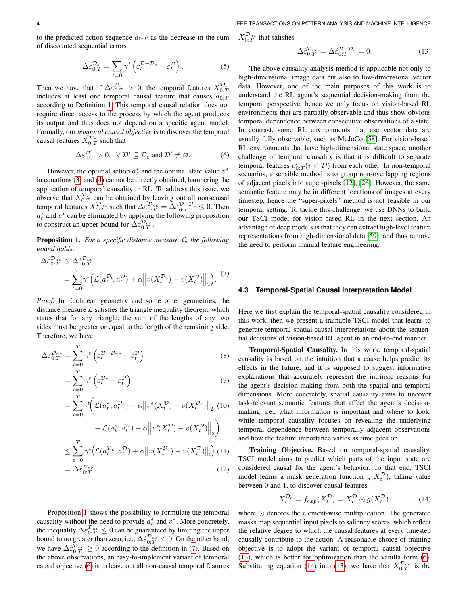to the predicted action sequence  $a_{0:T}$  as the decrease in the sum of discounted sequential errors

$$
\Delta \varepsilon_{0:T}^{\mathcal{D}_s} = \sum_{t=0}^T \gamma^t \left( \varepsilon_t^{\mathcal{D}-\mathcal{D}_s} - \varepsilon_t^{\mathcal{D}} \right). \tag{5}
$$

Then we have that if  $\Delta \varepsilon_{0:T}^{\mathcal{D}_s} > 0$ , the temporal features  $X_{0:T}^{\mathcal{D}_s}$  includes at least one temporal causal feature that causes  $a_{0:T}$ according to Definition [1.](#page-2-1) This temporal causal relation does not require direct access to the process by which the agent produces its output and thus does not depend on a specific agent model. Formally, our *temporal causal objective* is to discover the temporal causal features  $\bar{X}_{0:T}^{\mathcal{D}_c}$  such that

$$
\Delta \varepsilon_{0:T}^{\mathcal{D}'} > 0, \ \ \forall \ \mathcal{D}' \subseteq \mathcal{D}_c \text{ and } \mathcal{D}' \neq \varnothing. \tag{6}
$$

However, the optimal action  $a_t^*$  and the optimal state value  $v^*$ in equations [\(3\)](#page-2-2) and [\(4\)](#page-2-3) cannot be directly obtained, hampering the application of temporal causality in RL. To address this issue, we observe that  $X_{0:T}^{\mathcal{D}_c}$  can be obtained by leaving out all non-causal temporal features  $X_{0:T}^{\mathcal{D}_{nc}}$  such that  $\Delta \varepsilon_{0:T}^{\mathcal{D}_{nc}} = \Delta \varepsilon_{0:T}^{\mathcal{D}-\mathcal{D}_c} \leq 0$ . Then  $a_t^*$  and  $v^*$  can be eliminated by applying the following proposition to construct an upper bound for  $\widehat{\Delta} \varepsilon_{0:T}^{\widehat{\mathcal{D}}_{nc}}$ .

<span id="page-3-0"></span>Proposition 1. *For a specific distance measure* L*, the following bound holds:*

$$
\Delta \varepsilon_{0:T}^{\mathcal{D}_{nc}} \leq \Delta \hat{\varepsilon}_{0:T}^{\mathcal{D}_{nc}} = \sum_{t=0}^{T} \gamma^t \Big( \mathcal{L}(a_t^{\mathcal{D}_c}, a_t^{\mathcal{D}}) + \alpha \Big\| v(X_t^{\mathcal{D}_c}) - v(X_t^{\mathcal{D}}) \Big\|_2 \Big). \tag{7}
$$

*Proof.* In Euclidean geometry and some other geometries, the distance measure  $\mathcal L$  satisfies the triangle inequality theorem, which states that for any triangle, the sum of the lengths of any two sides must be greater or equal to the length of the remaining side. Therefore, we have

$$
\Delta \varepsilon_{0:T}^{\mathcal{D}_{nc}} = \sum_{t=0}^{T} \gamma^t \left( \varepsilon_t^{\mathcal{D} - \mathcal{D}_{nc}} - \varepsilon_t^{\mathcal{D}} \right)
$$
(8)

$$
=\sum_{t=0}^{T}\gamma^{t}\left(\varepsilon_{t}^{\mathcal{D}_{c}}-\varepsilon_{t}^{\mathcal{D}}\right)
$$
\n(9)

$$
= \sum_{t=0}^{T} \gamma^{t} \bigg( \mathcal{L}(a_{t}^{*}, a_{t}^{\mathcal{D}_{c}}) + \alpha \big\| v^{*}(X_{t}^{\mathcal{D}}) - v(X_{t}^{\mathcal{D}_{c}}) \big\|_{2} \tag{10}
$$

$$
-\mathcal{L}(a_t^*, a_t^{\mathcal{D}}) - \alpha \left\| v^*(X_t^{\mathcal{D}}) - v(X_t^{\mathcal{D}}) \right\|_2 \right)
$$
  
\n
$$
\leq \sum_{t=0}^T \gamma^t \left( \mathcal{L}(a_t^{\mathcal{D}_c}, a_t^{\mathcal{D}}) + \alpha \left\| v(X_t^{\mathcal{D}_c}) - v(X_t^{\mathcal{D}}) \right\|_2 \right)
$$
(11)  
\n
$$
= \Delta \hat{\varepsilon}_{0:T}^{\mathcal{D}_{nc}}.
$$
(12)

 $\Box$ 

Proposition [1](#page-3-0) shows the possibility to formulate the temporal causality without the need to provide  $a_t^*$  and  $v^*$ . More concretely, causality whilout the freed to provide  $a_t$  and v. Thore concretely,<br>the inequality  $\Delta \varepsilon_{0:T}^{\mathcal{D}_{nc}} \leq 0$  can be guaranteed by limiting the upper bound to no greater than zero, i.e.,  $\Delta \hat{\epsilon}_{0:T}^{\mathcal{D}_{nc}} \leq 0$ . On the other hand, we have  $\Delta \hat{\epsilon}_{0:T}^{\mathcal{D}_{nc}} \geq 0$  according to the definition in [\(7\)](#page-3-1). Based on the above observations, an easy-to-implement variant of temporal causal objective [\(6\)](#page-3-2) is to leave out all non-causal temporal features  $X_{0:T}^{\mathcal{D}_{nc}}$  that satisfies

<span id="page-3-3"></span>
$$
\Delta \hat{\varepsilon}_{0:T}^{\mathcal{D}_{nc}} = \Delta \hat{\varepsilon}_{0:T}^{\mathcal{D}-\mathcal{D}_c} = 0.
$$
 (13)

<span id="page-3-2"></span>The above causality analysis method is applicable not only to high-dimensional image data but also to low-dimensional vector data. However, one of the main purposes of this work is to understand the RL agent's sequential decision-making from the temporal perspective, hence we only focus on vision-based RL environments that are partially observable and thus show obvious temporal dependence between consecutive observations of a state. In contrast, some RL environments that use vector data are usually fully observable, such as MuJoCo [\[58\]](#page-12-39). For vision-based RL environments that have high-dimensional state space, another challenge of temporal causality is that it is difficult to separate temporal features  $o_{0:T}^i (i \in \mathcal{D})$  from each other. In non-temporal scenarios, a sensible method is to group non-overlapping regions of adjacent pixels into super-pixels [\[12\]](#page-11-11), [\[26\]](#page-12-7). However, the same semantic feature may be in different locations of images at every timestep, hence the "super-pixels" method is not feasible in our temporal setting. To tackle this challenge, we use DNNs to build our TSCI model for vision-based RL in the next section. An advantage of deep models is that they can extract high-level feature representations from high-dimensional data [\[59\]](#page-12-40), and thus remove the need to perform manual feature engineering.

#### <span id="page-3-1"></span>**4.3 Temporal-Spatial Causal Interpretation Model**

Here we first explain the temporal-spatial causality considered in this work, then we present a trainable TSCI model that learns to generate temporal-spatial causal interpretations about the sequential decisions of vision-based RL agent in an end-to-end manner.

Temporal-Spatial Causality. In this work, temporal-spatial causality is based on the intuition that a cause helps predict its effects in the future, and it is supposed to suggest informative explanations that accurately represent the intrinsic reasons for the agent's decision-making from both the spatial and temporal dimensions. More concretely, spatial causality aims to uncover task-relevant semantic features that affect the agent's decisionmaking, i.e., what information is important and where to look, while temporal causality focuses on revealing the underlying temporal dependence between temporally adjacent observations and how the feature importance varies as time goes on.

Training Objective. Based on temporal-spatial causality, TSCI model aims to predict which parts of the input state are considered causal for the agent's behavior. To that end, TSCI model learns a mask generation function  $g(X_t^{\mathcal{D}})$ , taking value between 0 and 1, to discover causal features

<span id="page-3-4"></span>
$$
X_t^{\mathcal{D}_c} = f_{exp}(X_t^{\mathcal{D}}) = X_t^{\mathcal{D}} \odot g(X_t^{\mathcal{D}}),\tag{14}
$$

where  $\odot$  denotes the element-wise multiplication. The generated masks map sequential input pixels to saliency scores, which reflect the relative degree to which the causal features at every timestep causally contribute to the action. A reasonable choice of training objective is to adopt the variant of temporal causal objective [\(13\)](#page-3-3), which is better for optimization than the vanilla form [\(6\)](#page-3-2). Substituting equation [\(14\)](#page-3-4) into [\(13\)](#page-3-3), we have that  $X_{0:T}^{\mathcal{D}_{nc}}$  is the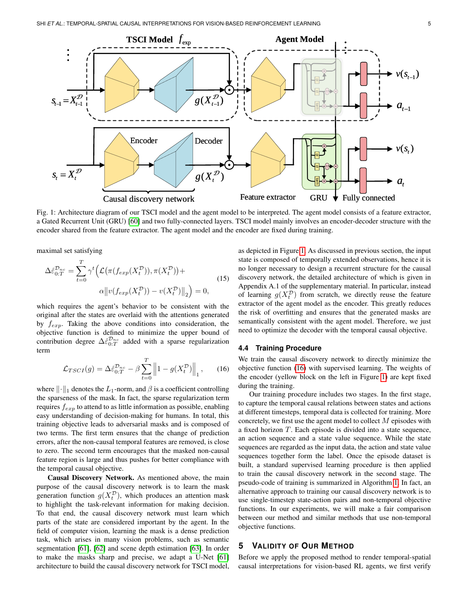<span id="page-4-1"></span>

Fig. 1: Architecture diagram of our TSCI model and the agent model to be interpreted. The agent model consists of a feature extractor, a Gated Recurrent Unit (GRU) [\[60\]](#page-12-41) and two fully-connected layers. TSCI model mainly involves an encoder-decoder structure with the encoder shared from the feature extractor. The agent model and the encoder are fixed during training.

maximal set satisfying

$$
\Delta \hat{\varepsilon}_{0:T}^{\mathcal{D}_{nc}} = \sum_{t=0}^{T} \gamma^t \Big( \mathcal{L}(\pi(f_{exp}(X_t^{\mathcal{D}})), \pi(X_t^{\mathcal{D}})) + \alpha ||v(f_{exp}(X_t^{\mathcal{D}})) - v(X_t^{\mathcal{D}})||_2 \Big) = 0,
$$
\n(15)

which requires the agent's behavior to be consistent with the original after the states are overlaid with the attentions generated by  $f_{\text{exp}}$ . Taking the above conditions into consideration, the objective function is defined to minimize the upper bound of contribution degree  $\Delta \hat{\epsilon}_{0:T}^{\mathcal{D}_{nc}}$  added with a sparse regularization term

$$
\mathcal{L}_{TSCI}(g) = \Delta \hat{\varepsilon}_{0:T}^{\mathcal{D}_{nc}} - \beta \sum_{t=0}^{T} \left\| 1 - g(X_t^{\mathcal{D}}) \right\|_1, \quad (16)
$$

where  $\|\cdot\|_1$  denotes the  $L_1$ -norm, and  $\beta$  is a coefficient controlling the sparseness of the mask. In fact, the sparse regularization term requires  $f_{exp}$  to attend to as little information as possible, enabling easy understanding of decision-making for humans. In total, this training objective leads to adversarial masks and is composed of two terms. The first term ensures that the change of prediction errors, after the non-causal temporal features are removed, is close to zero. The second term encourages that the masked non-causal feature region is large and thus pushes for better compliance with the temporal causal objective.

Causal Discovery Network. As mentioned above, the main purpose of the causal discovery network is to learn the mask generation function  $g(X_t^{\mathcal{D}})$ , which produces an attention mask to highlight the task-relevant information for making decision. To that end, the causal discovery network must learn which parts of the state are considered important by the agent. In the field of computer vision, learning the mask is a dense prediction task, which arises in many vision problems, such as semantic segmentation [\[61\]](#page-12-42), [\[62\]](#page-12-43) and scene depth estimation [\[63\]](#page-12-44). In order to make the masks sharp and precise, we adapt a U-Net [\[61\]](#page-12-42) architecture to build the causal discovery network for TSCI model,

<span id="page-4-3"></span>as depicted in Figure [1.](#page-4-1) As discussed in previous section, the input state is composed of temporally extended observations, hence it is no longer necessary to design a recurrent structure for the causal discovery network, the detailed architecture of which is given in Appendix A.1 of the supplementary material. In particular, instead of learning  $g(X_t^{\mathcal{D}})$  from scratch, we directly reuse the feature extractor of the agent model as the encoder. This greatly reduces the risk of overfitting and ensures that the generated masks are semantically consistent with the agent model. Therefore, we just need to optimize the decoder with the temporal causal objective.

#### **4.4 Training Procedure**

<span id="page-4-2"></span>We train the causal discovery network to directly minimize the objective function [\(16\)](#page-4-2) with supervised learning. The weights of the encoder (yellow block on the left in Figure [1\)](#page-4-1) are kept fixed during the training.

Our training procedure includes two stages. In the first stage, to capture the temporal causal relations between states and actions at different timesteps, temporal data is collected for training. More concretely, we first use the agent model to collect M episodes with a fixed horizon  $T$ . Each episode is divided into a state sequence, an action sequence and a state value sequence. While the state sequences are regarded as the input data, the action and state value sequences together form the label. Once the episode dataset is built, a standard supervised learning procedure is then applied to train the causal discovery network in the second stage. The pseudo-code of training is summarized in Algorithm [1.](#page-5-0) In fact, an alternative approach to training our causal discovery network is to use single-timestep state-action pairs and non-temporal objective functions. In our experiments, we will make a fair comparison between our method and similar methods that use non-temporal objective functions.

## <span id="page-4-0"></span>**5 VALIDITY OF OUR METHOD**

Before we apply the proposed method to render temporal-spatial causal interpretations for vision-based RL agents, we first verify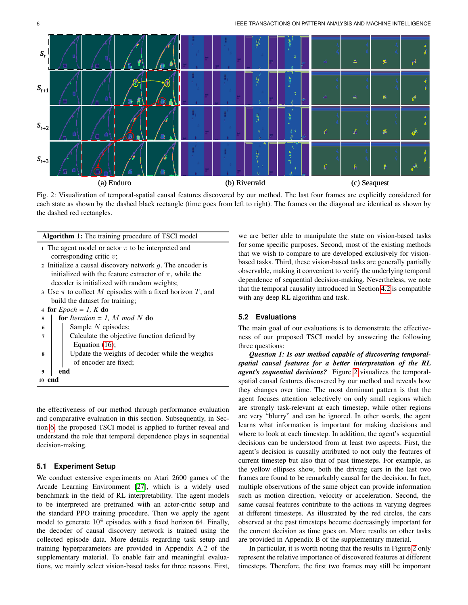<span id="page-5-1"></span>

Fig. 2: Visualization of temporal-spatial causal features discovered by our method. The last four frames are explicitly considered for each state as shown by the dashed black rectangle (time goes from left to right). The frames on the diagonal are identical as shown by the dashed red rectangles.

<span id="page-5-0"></span>

|                                                               | 1 The agent model or actor $\pi$ to be interpreted and       |  |  |  |  |  |
|---------------------------------------------------------------|--------------------------------------------------------------|--|--|--|--|--|
|                                                               | corresponding critic $v$ ;                                   |  |  |  |  |  |
|                                                               | 2 Initialize a causal discovery network $q$ . The encoder is |  |  |  |  |  |
| initialized with the feature extractor of $\pi$ , while the   |                                                              |  |  |  |  |  |
| decoder is initialized with random weights;                   |                                                              |  |  |  |  |  |
| 3 Use $\pi$ to collect M episodes with a fixed horizon T, and |                                                              |  |  |  |  |  |
| build the dataset for training;                               |                                                              |  |  |  |  |  |
| 4 for $Epoch = I$ , K do                                      |                                                              |  |  |  |  |  |
| 5                                                             | <b>for</b> Iteration = 1, M mod N <b>do</b>                  |  |  |  |  |  |
| 6                                                             | Sample $N$ episodes;                                         |  |  |  |  |  |
| 7                                                             | Calculate the objective function defiend by                  |  |  |  |  |  |
|                                                               | Equation $(16)$ ;                                            |  |  |  |  |  |
| 8                                                             | Update the weights of decoder while the weights              |  |  |  |  |  |
|                                                               | of encoder are fixed;                                        |  |  |  |  |  |
| 9                                                             | end                                                          |  |  |  |  |  |
| 10 end                                                        |                                                              |  |  |  |  |  |
|                                                               |                                                              |  |  |  |  |  |

Algorithm 1: The training procedure of TSCI model

the effectiveness of our method through performance evaluation and comparative evaluation in this section. Subsequently, in Section [6,](#page-7-0) the proposed TSCI model is applied to further reveal and understand the role that temporal dependence plays in sequential decision-making.

## **5.1 Experiment Setup**

We conduct extensive experiments on Atari 2600 games of the Arcade Learning Environment [\[27\]](#page-12-8), which is a widely used benchmark in the field of RL interpretability. The agent models to be interpreted are pretrained with an actor-critic setup and the standard PPO training procedure. Then we apply the agent model to generate  $10^4$  episodes with a fixed horizon 64. Finally, the decoder of causal discovery network is trained using the collected episode data. More details regarding task setup and training hyperparameters are provided in Appendix A.2 of the supplementary material. To enable fair and meaningful evaluations, we mainly select vision-based tasks for three reasons. First, we are better able to manipulate the state on vision-based tasks for some specific purposes. Second, most of the existing methods that we wish to compare to are developed exclusively for visionbased tasks. Third, these vision-based tasks are generally partially observable, making it convenient to verify the underlying temporal dependence of sequential decision-making. Nevertheless, we note that the temporal causality introduced in Section [4.2](#page-2-4) is compatible with any deep RL algorithm and task.

## **5.2 Evaluations**

The main goal of our evaluations is to demonstrate the effectiveness of our proposed TSCI model by answering the following three questions:

*Question 1: Is our method capable of discovering temporalspatial causal features for a better interpretation of the RL agent's sequential decisions?* Figure [2](#page-5-1) visualizes the temporalspatial causal features discovered by our method and reveals how they changes over time. The most dominant pattern is that the agent focuses attention selectively on only small regions which are strongly task-relevant at each timestep, while other regions are very "blurry" and can be ignored. In other words, the agent learns what information is important for making decisions and where to look at each timestep. In addition, the agent's sequential decisions can be understood from at least two aspects. First, the agent's decision is causally attributed to not only the features of current timestep but also that of past timesteps. For example, as the yellow ellipses show, both the driving cars in the last two frames are found to be remarkably causal for the decision. In fact, multiple observations of the same object can provide information such as motion direction, velocity or acceleration. Second, the same causal features contribute to the actions in varying degrees at different timesteps. As illustrated by the red circles, the cars observed at the past timesteps become decreasingly important for the current decision as time goes on. More results on other tasks are provided in Appendix B of the supplementary material.

In particular, it is worth noting that the results in Figure [2](#page-5-1) only represent the relative importance of discovered features at different timesteps. Therefore, the first two frames may still be important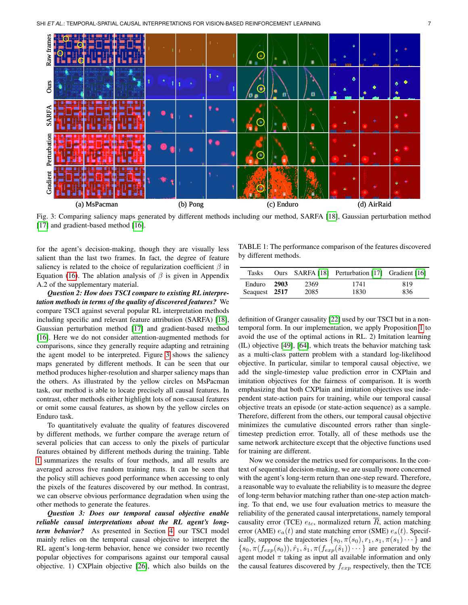<span id="page-6-0"></span>

Fig. 3: Comparing saliency maps generated by different methods including our method, SARFA [\[18\]](#page-11-17), Gaussian perturbation method [\[17\]](#page-11-16) and gradient-based method [\[16\]](#page-11-15).

for the agent's decision-making, though they are visually less salient than the last two frames. In fact, the degree of feature saliency is related to the choice of regularization coefficient  $\beta$  in Equation [\(16\)](#page-4-2). The ablation analysis of  $\beta$  is given in Appendix A.2 of the supplementary material.

*Question 2: How does TSCI compare to existing RL interpretation methods in terms of the quality of discovered features?* We compare TSCI against several popular RL interpretation methods including specific and relevant feature attribution (SARFA) [\[18\]](#page-11-17), Gaussian perturbation method [\[17\]](#page-11-16) and gradient-based method [\[16\]](#page-11-15). Here we do not consider attention-augmented methods for comparisons, since they generally require adapting and retraining the agent model to be interpreted. Figure [3](#page-6-0) shows the saliency maps generated by different methods. It can be seen that our method produces higher-resolution and sharper saliency maps than the others. As illustrated by the yellow circles on MsPacman task, our method is able to locate precisely all causal features. In contrast, other methods either highlight lots of non-causal features or omit some causal features, as shown by the yellow circles on Enduro task.

To quantitatively evaluate the quality of features discovered by different methods, we further compare the average return of several policies that can access to only the pixels of particular features obtained by different methods during the training. Table [1](#page-6-1) summarizes the results of four methods, and all results are averaged across five random training runs. It can be seen that the policy still achieves good performance when accessing to only the pixels of the features discovered by our method. In contrast, we can observe obvious performance degradation when using the other methods to generate the features.

*Question 3: Does our temporal causal objective enable reliable causal interpretations about the RL agent's longterm behavior?* As presented in Section [4,](#page-2-0) our TSCI model mainly relies on the temporal causal objective to interpret the RL agent's long-term behavior, hence we consider two recently popular objectives for comparisons against our temporal causal objective. 1) CXPlain objective [\[26\]](#page-12-7), which also builds on the

<span id="page-6-1"></span>TABLE 1: The performance comparison of the features discovered by different methods.

| Tasks         |        |      | Ours SARFA [18] Perturbation [17] Gradient [16] |     |
|---------------|--------|------|-------------------------------------------------|-----|
| Enduro        | - 2903 | 2369 | 1741                                            | 819 |
| Seaguest 2517 |        | 2085 | 1830                                            | 836 |

definition of Granger causality [\[22\]](#page-12-3) used by our TSCI but in a nontemporal form. In our implementation, we apply Proposition [1](#page-3-0) to avoid the use of the optimal actions in RL. 2) Imitation learning (IL) objective [\[49\]](#page-12-30), [\[64\]](#page-12-45), which treats the behavior matching task as a multi-class pattern problem with a standard log-likelihood objective. In particular, similar to temporal causal objective, we add the single-timestep value prediction error in CXPlain and imitation objectives for the fairness of comparison. It is worth emphasizing that both CXPlain and imitation objectives use independent state-action pairs for training, while our temporal causal objective treats an episode (or state-action sequence) as a sample. Therefore, different from the others, our temporal causal objective minimizes the cumulative discounted errors rather than singletimestep prediction error. Totally, all of these methods use the same network architecture except that the objective functions used for training are different.

Now we consider the metrics used for comparisons. In the context of sequential decision-making, we are usually more concerned with the agent's long-term return than one-step reward. Therefore, a reasonable way to evaluate the reliability is to measure the degree of long-term behavior matching rather than one-step action matching. To that end, we use four evaluation metrics to measure the reliability of the generated causal interpretations, namely temporal causality error (TCE)  $e_{tc}$ , normalized return  $\overline{R}$ , action matching error (AME)  $e_a(t)$  and state matching error (SME)  $e_s(t)$ . Specifically, suppose the trajectories  $\{s_0, \pi(s_0), r_1, s_1, \pi(s_1) \cdots \}$  and  $\{s_0, \pi(f_{exp}(s_0)), \hat{r}_1, \hat{s}_1, \pi(f_{exp}(\hat{s}_1))\cdots\}$  are generated by the agent model  $\pi$  taking as input all available information and only the causal features discovered by  $f_{exp}$  respectively, then the TCE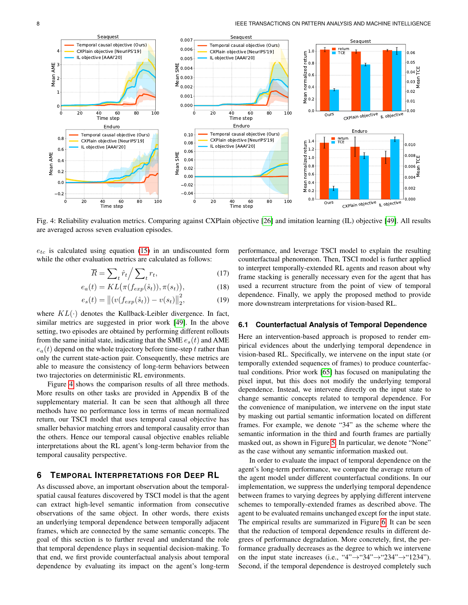<span id="page-7-1"></span>

Fig. 4: Reliability evaluation metrics. Comparing against CXPlain objective [\[26\]](#page-12-7) and imitation learning (IL) objective [\[49\]](#page-12-30). All results are averaged across seven evaluation episodes.

 $e_{tc}$  is calculated using equation [\(15\)](#page-4-3) in an undiscounted form while the other evaluation metrics are calculated as follows:

$$
\overline{R} = \sum_{t} \hat{r}_t / \sum_{t} r_t,\tag{17}
$$

$$
e_a(t) = KL\big(\pi(f_{exp}(\hat{s}_t)), \pi(s_t)\big),\tag{18}
$$

$$
e_s(t) = ||(v(f_{exp}(\hat{s}_t)) - v(s_t)||_2^2,
$$
 (19)

where  $KL(\cdot)$  denotes the Kullback-Leibler divergence. In fact, similar metrics are suggested in prior work [\[49\]](#page-12-30). In the above setting, two episodes are obtained by performing different rollouts from the same initial state, indicating that the SME  $e_s(t)$  and AME  $e_a(t)$  depend on the whole trajectory before time-step t rather than only the current state-action pair. Consequently, these metrics are able to measure the consistency of long-term behaviors between two trajectories on deterministic RL environments.

Figure [4](#page-7-1) shows the comparison results of all three methods. More results on other tasks are provided in Appendix B of the supplementary material. It can be seen that although all three methods have no performance loss in terms of mean normalized return, our TSCI model that uses temporal causal objective has smaller behavior matching errors and temporal causality error than the others. Hence our temporal causal objective enables reliable interpretations about the RL agent's long-term behavior from the temporal causality perspective.

## <span id="page-7-0"></span>**6 TEMPORAL INTERPRETATIONS FOR DEEP RL**

As discussed above, an important observation about the temporalspatial causal features discovered by TSCI model is that the agent can extract high-level semantic information from consecutive observations of the same object. In other words, there exists an underlying temporal dependence between temporally adjacent frames, which are connected by the same semantic concepts. The goal of this section is to further reveal and understand the role that temporal dependence plays in sequential decision-making. To that end, we first provide counterfactual analysis about temporal dependence by evaluating its impact on the agent's long-term performance, and leverage TSCI model to explain the resulting counterfactual phenomenon. Then, TSCI model is further applied to interpret temporally-extended RL agents and reason about why frame stacking is generally necessary even for the agent that has used a recurrent structure from the point of view of temporal dependence. Finally, we apply the proposed method to provide more downstream interpretations for vision-based RL.

#### **6.1 Counterfactual Analysis of Temporal Dependence**

Here an intervention-based approach is proposed to render empirical evidences about the underlying temporal dependence in vision-based RL. Specifically, we intervene on the input state (or temporally extended sequences of frames) to produce counterfactual conditions. Prior work [\[65\]](#page-12-46) has focused on manipulating the pixel input, but this does not modify the underlying temporal dependence. Instead, we intervene directly on the input state to change semantic concepts related to temporal dependence. For the convenience of manipulation, we intervene on the input state by masking out partial semantic information located on different frames. For example, we denote "34" as the scheme where the semantic information in the third and fourth frames are partially masked out, as shown in Figure [5.](#page-8-0) In particular, we denote "None" as the case without any semantic information masked out.

In order to evaluate the impact of temporal dependence on the agent's long-term performance, we compare the average return of the agent model under different counterfactual conditions. In our implementation, we suppress the underlying temporal dependence between frames to varying degrees by applying different intervene schemes to temporally-extended frames as described above. The agent to be evaluated remains unchanged except for the input state. The empirical results are summarized in Figure [6.](#page-8-1) It can be seen that the reduction of temporal dependence results in different degrees of performance degradation. More concretely, first, the performance gradually decreases as the degree to which we intervene on the input state increases (i.e., "4" $\rightarrow$ "34" $\rightarrow$ "234" $\rightarrow$ "1234"). Second, if the temporal dependence is destroyed completely such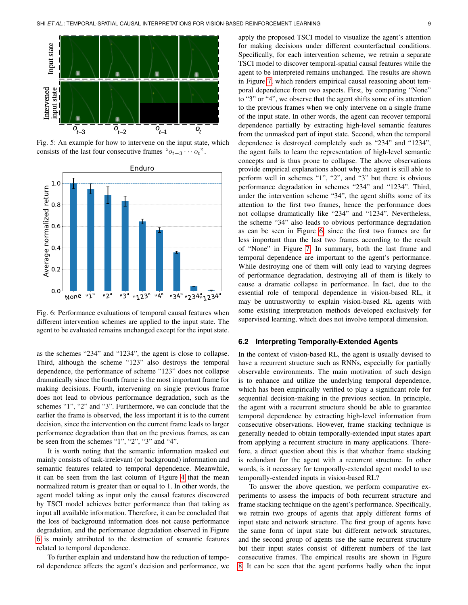<span id="page-8-0"></span>

Fig. 5: An example for how to intervene on the input state, which consists of the last four consecutive frames " $o_{t-3} \cdots o_t$ ".

<span id="page-8-1"></span>

Fig. 6: Performance evaluations of temporal causal features when different intervention schemes are applied to the input state. The agent to be evaluated remains unchanged except for the input state.

as the schemes "234" and "1234", the agent is close to collapse. Third, although the scheme "123" also destroys the temporal dependence, the performance of scheme "123" does not collapse dramatically since the fourth frame is the most important frame for making decisions. Fourth, intervening on single previous frame does not lead to obvious performance degradation, such as the schemes "1", "2" and "3". Furthermore, we can conclude that the earlier the frame is observed, the less important it is to the current decision, since the intervention on the current frame leads to larger performance degradation than that on the previous frames, as can be seen from the schemes "1", "2", "3" and "4".

It is worth noting that the semantic information masked out mainly consists of task-irrelevant (or background) information and semantic features related to temporal dependence. Meanwhile, it can be seen from the last column of Figure [4](#page-7-1) that the mean normalized return is greater than or equal to 1. In other words, the agent model taking as input only the causal features discovered by TSCI model achieves better performance than that taking as input all available information. Therefore, it can be concluded that the loss of background information does not cause performance degradation, and the performance degradation observed in Figure [6](#page-8-1) is mainly attributed to the destruction of semantic features related to temporal dependence.

To further explain and understand how the reduction of temporal dependence affects the agent's decision and performance, we

 $\mathcal{O}_{t-1}$   $\mathcal{O}_t$   $\mathcal{O}_t$   $\mathcal{O}_t$  from the unmasked part of input state. Second, when the temporal apply the proposed TSCI model to visualize the agent's attention for making decisions under different counterfactual conditions. Specifically, for each intervention scheme, we retrain a separate TSCI model to discover temporal-spatial causal features while the agent to be interpreted remains unchanged. The results are shown in Figure [7,](#page-9-0) which renders empirical causal reasoning about temporal dependence from two aspects. First, by comparing "None" to "3" or "4", we observe that the agent shifts some of its attention to the previous frames when we only intervene on a single frame of the input state. In other words, the agent can recover temporal dependence partially by extracting high-level semantic features dependence is destroyed completely such as "234" and "1234", the agent fails to learn the representation of high-level semantic concepts and is thus prone to collapse. The above observations provide empirical explanations about why the agent is still able to perform well in schemes "1", "2", and "3" but there is obvious performance degradation in schemes "234" and "1234". Third, under the intervention scheme "34", the agent shifts some of its attention to the first two frames, hence the performance does not collapse dramatically like "234" and "1234". Nevertheless, the scheme "34" also leads to obvious performance degradation as can be seen in Figure [6,](#page-8-1) since the first two frames are far less important than the last two frames according to the result of "None" in Figure [7.](#page-9-0) In summary, both the last frame and temporal dependence are important to the agent's performance. While destroying one of them will only lead to varying degrees of performance degradation, destroying all of them is likely to cause a dramatic collapse in performance. In fact, due to the essential role of temporal dependence in vision-based RL, it may be untrustworthy to explain vision-based RL agents with some existing interpretation methods developed exclusively for supervised learning, which does not involve temporal dimension.

#### **6.2 Interpreting Temporally-Extended Agents**

In the context of vision-based RL, the agent is usually devised to have a recurrent structure such as RNNs, especially for partially observable environments. The main motivation of such design is to enhance and utilize the underlying temporal dependence, which has been empirically verified to play a significant role for sequential decision-making in the previous section. In principle, the agent with a recurrent structure should be able to guarantee temporal dependence by extracting high-level information from consecutive observations. However, frame stacking technique is generally needed to obtain temporally-extended input states apart from applying a recurrent structure in many applications. Therefore, a direct question about this is that whether frame stacking is redundant for the agent with a recurrent structure. In other words, is it necessary for temporally-extended agent model to use temporally-extended inputs in vision-based RL?

To answer the above question, we perform comparative experiments to assess the impacts of both recurrent structure and frame stacking technique on the agent's performance. Specifically, we retrain two groups of agents that apply different forms of input state and network structure. The first group of agents have the same form of input state but different network structures, and the second group of agents use the same recurrent structure but their input states consist of different numbers of the last consecutive frames. The empirical results are shown in Figure [8.](#page-9-1) It can be seen that the agent performs badly when the input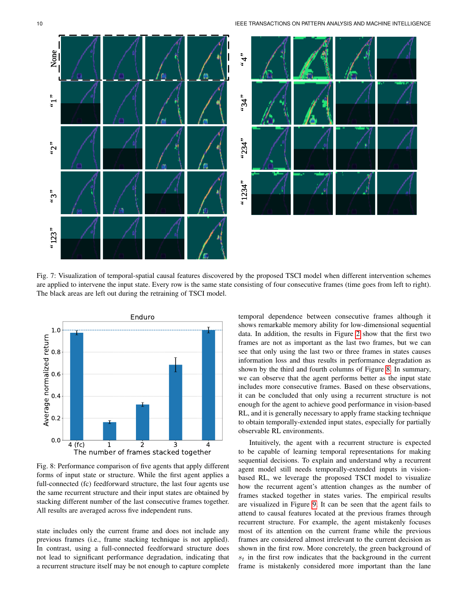<span id="page-9-0"></span>

Fig. 7: Visualization of temporal-spatial causal features discovered by the proposed TSCI model when different intervention schemes are applied to intervene the input state. Every row is the same state consisting of four consecutive frames (time goes from left to right). The black areas are left out during the retraining of TSCI model.

<span id="page-9-1"></span>

Fig. 8: Performance comparison of five agents that apply different forms of input state or structure. While the first agent applies a full-connected (fc) feedforward structure, the last four agents use the same recurrent structure and their input states are obtained by stacking different number of the last consecutive frames together. All results are averaged across five independent runs.

state includes only the current frame and does not include any previous frames (i.e., frame stacking technique is not applied). In contrast, using a full-connected feedforward structure does not lead to significant performance degradation, indicating that a recurrent structure itself may be not enough to capture complete temporal dependence between consecutive frames although it shows remarkable memory ability for low-dimensional sequential data. In addition, the results in Figure [2](#page-5-1) show that the first two frames are not as important as the last two frames, but we can see that only using the last two or three frames in states causes information loss and thus results in performance degradation as shown by the third and fourth columns of Figure [8.](#page-9-1) In summary, we can observe that the agent performs better as the input state includes more consecutive frames. Based on these observations, it can be concluded that only using a recurrent structure is not enough for the agent to achieve good performance in vision-based RL, and it is generally necessary to apply frame stacking technique to obtain temporally-extended input states, especially for partially observable RL environments.

Intuitively, the agent with a recurrent structure is expected to be capable of learning temporal representations for making sequential decisions. To explain and understand why a recurrent agent model still needs temporally-extended inputs in visionbased RL, we leverage the proposed TSCI model to visualize how the recurrent agent's attention changes as the number of frames stacked together in states varies. The empirical results are visualized in Figure [9.](#page-10-0) It can be seen that the agent fails to attend to causal features located at the previous frames through recurrent structure. For example, the agent mistakenly focuses most of its attention on the current frame while the previous frames are considered almost irrelevant to the current decision as shown in the first row. More concretely, the green background of  $s_t$  in the first row indicates that the background in the current frame is mistakenly considered more important than the lane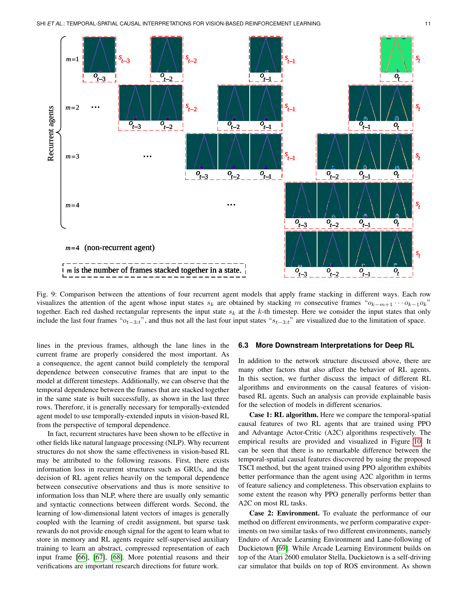<span id="page-10-0"></span>

Fig. 9: Comparison between the attentions of four recurrent agent models that apply frame stacking in different ways. Each row visualizes the attention of the agent whose input states  $s_k$  are obtained by stacking m consecutive frames " $o_{k-m+1} \cdots o_{k-1} o_k$ " together. Each red dashed rectangular represents the input state  $s_k$  at the k-th timestep. Here we consider the input states that only include the last four frames " $o_{t-3:t}$ ", and thus not all the last four input states " $s_{t-3:t}$ " are visualized due to the limitation of space.

lines in the previous frames, although the lane lines in the current frame are properly considered the most important. As a consequence, the agent cannot build completely the temporal dependence between consecutive frames that are input to the model at different timesteps. Additionally, we can observe that the temporal dependence between the frames that are stacked together in the same state is built successfully, as shown in the last three rows. Therefore, it is generally necessary for temporally-extended agent model to use temporally-extended inputs in vision-based RL from the perspective of temporal dependence.

In fact, recurrent structures have been shown to be effective in other fields like natural language processing (NLP). Why recurrent structures do not show the same effectiveness in vision-based RL may be attributed to the following reasons. First, there exists information loss in recurrent structures such as GRUs, and the decision of RL agent relies heavily on the temporal dependence between consecutive observations and thus is more sensitive to information loss than NLP, where there are usually only semantic and syntactic connections between different words. Second, the learning of low-dimensional latent vectors of images is generally coupled with the learning of credit assignment, but sparse task rewards do not provide enough signal for the agent to learn what to store in memory and RL agents require self-supervised auxiliary training to learn an abstract, compressed representation of each input frame [\[66\]](#page-12-47), [\[67\]](#page-13-0), [\[68\]](#page-13-1). More potential reasons and their verifications are important research directions for future work.

#### **6.3 More Downstream Interpretations for Deep RL**

In addition to the network structure discussed above, there are many other factors that also affect the behavior of RL agents. In this section, we further discuss the impact of different RL algorithms and environments on the causal features of visionbased RL agents. Such an analysis can provide explainable basis for the selection of models in different scenarios.

Case 1: RL algorithm. Here we compare the temporal-spatial causal features of two RL agents that are trained using PPO and Advantage Actor-Critic (A2C) algorithms respectively. The empirical results are provided and visualized in Figure [10.](#page-11-18) It can be seen that there is no remarkable difference between the temporal-spatial causal features discovered by using the proposed TSCI method, but the agent trained using PPO algorithm exhibits better performance than the agent using A2C algorithm in terms of feature saliency and completeness. This observation explains to some extent the reason why PPO generally performs better than A2C on most RL tasks.

Case 2: Environment. To evaluate the performance of our method on different environments, we perform comparative experiments on two similar tasks of two different environments, namely Enduro of Arcade Learning Environment and Lane-following of Duckietown [\[69\]](#page-13-2). While Arcade Learning Environment builds on top of the Atari 2600 emulator Stella, Duckietown is a self-driving car simulator that builds on top of ROS environment. As shown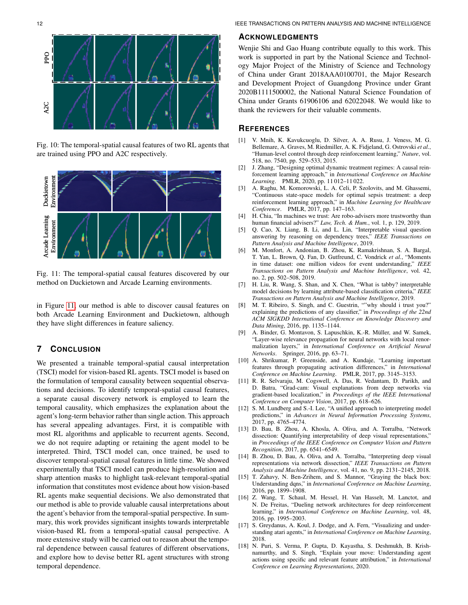<span id="page-11-18"></span>

Fig. 10: The temporal-spatial causal features of two RL agents that are trained using PPO and A2C respectively.

<span id="page-11-19"></span>

Fig. 11: The temporal-spatial causal features discovered by our method on Duckietown and Arcade Learning environments.

in Figure [11,](#page-11-19) our method is able to discover causal features on both Arcade Learning Environment and Duckietown, although they have slight differences in feature saliency.

## **7 CONCLUSION**

We presented a trainable temporal-spatial causal interpretation (TSCI) model for vision-based RL agents. TSCI model is based on the formulation of temporal causality between sequential observations and decisions. To identify temporal-spatial causal features, a separate causal discovery network is employed to learn the temporal causality, which emphasizes the explanation about the agent's long-term behavior rather than single action. This approach has several appealing advantages. First, it is compatible with most RL algorithms and applicable to recurrent agents. Second, we do not require adapting or retaining the agent model to be interpreted. Third, TSCI model can, once trained, be used to discover temporal-spatial causal features in little time. We showed experimentally that TSCI model can produce high-resolution and sharp attention masks to highlight task-relevant temporal-spatial information that constitutes most evidence about how vision-based RL agents make sequential decisions. We also demonstrated that our method is able to provide valuable causal interpretations about the agent's behavior from the temporal-spatial perspective. In summary, this work provides significant insights towards interpretable vision-based RL from a temporal-spatial causal perspective. A more extensive study will be carried out to reason about the temporal dependence between causal features of different observations, and explore how to devise better RL agent structures with strong temporal dependence.

#### **ACKNOWLEDGMENTS**

Wenjie Shi and Gao Huang contribute equally to this work. This work is supported in part by the National Science and Technology Major Project of the Ministry of Science and Technology of China under Grant 2018AAA0100701, the Major Research and Development Project of Guangdong Province under Grant 2020B1111500002, the National Natural Science Foundation of China under Grants 61906106 and 62022048. We would like to thank the reviewers for their valuable comments.

### **REFERENCES**

- <span id="page-11-0"></span>[1] V. Mnih, K. Kavukcuoglu, D. Silver, A. A. Rusu, J. Veness, M. G. Bellemare, A. Graves, M. Riedmiller, A. K. Fidjeland, G. Ostrovski *et al.*, "Human-level control through deep reinforcement learning," *Nature*, vol. 518, no. 7540, pp. 529–533, 2015.
- <span id="page-11-1"></span>[2] J. Zhang, "Designing optimal dynamic treatment regimes: A causal reinforcement learning approach," in *International Conference on Machine Learning*. PMLR, 2020, pp. 11 012–11 022.
- <span id="page-11-2"></span>[3] A. Raghu, M. Komorowski, L. A. Celi, P. Szolovits, and M. Ghassemi, "Continuous state-space models for optimal sepsis treatment: a deep reinforcement learning approach," in *Machine Learning for Healthcare Conference*. PMLR, 2017, pp. 147–163.
- <span id="page-11-3"></span>[4] H. Chia, "In machines we trust: Are robo-advisers more trustworthy than human financial advisers?" *Law, Tech. & Hum.*, vol. 1, p. 129, 2019.
- <span id="page-11-4"></span>[5] Q. Cao, X. Liang, B. Li, and L. Lin, "Interpretable visual question answering by reasoning on dependency trees," *IEEE Transactions on Pattern Analysis and Machine Intelligence*, 2019.
- <span id="page-11-5"></span>[6] M. Monfort, A. Andonian, B. Zhou, K. Ramakrishnan, S. A. Bargal, T. Yan, L. Brown, Q. Fan, D. Gutfreund, C. Vondrick *et al.*, "Moments in time dataset: one million videos for event understanding," *IEEE Transactions on Pattern Analysis and Machine Intelligence*, vol. 42, no. 2, pp. 502–508, 2019.
- <span id="page-11-6"></span>[7] H. Liu, R. Wang, S. Shan, and X. Chen, "What is tabby? interpretable model decisions by learning attribute-based classification criteria," *IEEE Transactions on Pattern Analysis and Machine Intelligence*, 2019.
- <span id="page-11-7"></span>[8] M. T. Ribeiro, S. Singh, and C. Guestrin, ""why should i trust you?" explaining the predictions of any classifier," in *Proceedings of the 22nd ACM SIGKDD International Conference on Knowledge Discovery and Data Mining*, 2016, pp. 1135–1144.
- <span id="page-11-8"></span>[9] A. Binder, G. Montavon, S. Lapuschkin, K.-R. Müller, and W. Samek, "Layer-wise relevance propagation for neural networks with local renormalization layers," in *International Conference on Artificial Neural Networks*. Springer, 2016, pp. 63–71.
- <span id="page-11-9"></span>[10] A. Shrikumar, P. Greenside, and A. Kundaje, "Learning important features through propagating activation differences," in *International Conference on Machine Learning*. PMLR, 2017, pp. 3145–3153.
- <span id="page-11-10"></span>[11] R. R. Selvaraju, M. Cogswell, A. Das, R. Vedantam, D. Parikh, and D. Batra, "Grad-cam: Visual explanations from deep networks via gradient-based localization," in *Proceedings of the IEEE International Conference on Computer Vision*, 2017, pp. 618–626.
- <span id="page-11-11"></span>[12] S. M. Lundberg and S.-I. Lee, "A unified approach to interpreting model predictions," in *Advances in Neural Information Processing Systems*, 2017, pp. 4765–4774.
- <span id="page-11-12"></span>[13] D. Bau, B. Zhou, A. Khosla, A. Oliva, and A. Torralba, "Network dissection: Quantifying interpretability of deep visual representations," in *Proceedings of the IEEE Conference on Computer Vision and Pattern Recognition*, 2017, pp. 6541–6549.
- <span id="page-11-13"></span>[14] B. Zhou, D. Bau, A. Oliva, and A. Torralba, "Interpreting deep visual representations via network dissection," *IEEE Transactions on Pattern Analysis and Machine Intelligence*, vol. 41, no. 9, pp. 2131–2145, 2018.
- <span id="page-11-14"></span>[15] T. Zahavy, N. Ben-Zrihem, and S. Mannor, "Graying the black box: Understanding dqns," in *International Conference on Machine Learning*, 2016, pp. 1899–1908.
- <span id="page-11-15"></span>[16] Z. Wang, T. Schaul, M. Hessel, H. Van Hasselt, M. Lanctot, and N. De Freitas, "Dueling network architectures for deep reinforcement learning," in *International Conference on Machine Learning*, vol. 48, 2016, pp. 1995–2003.
- <span id="page-11-16"></span>[17] S. Greydanus, A. Koul, J. Dodge, and A. Fern, "Visualizing and understanding atari agents," in *International Conference on Machine Learning*, 2018.
- <span id="page-11-17"></span>[18] N. Puri, S. Verma, P. Gupta, D. Kayastha, S. Deshmukh, B. Krishnamurthy, and S. Singh, "Explain your move: Understanding agent actions using specific and relevant feature attribution," in *International Conference on Learning Representations*, 2020.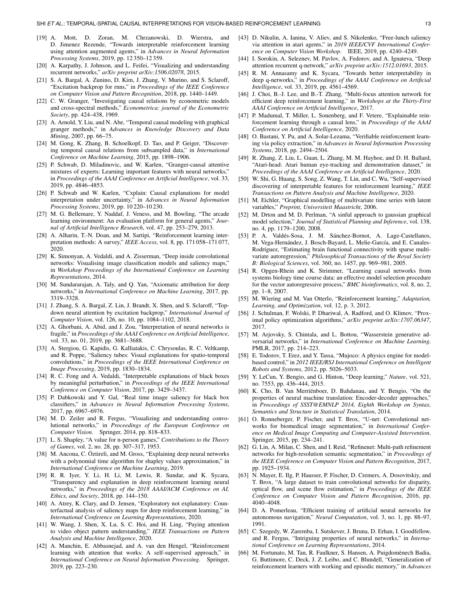- <span id="page-12-0"></span>[19] A. Mott, D. Zoran, M. Chrzanowski, D. Wierstra, and D. Jimenez Rezende, "Towards interpretable reinforcement learning using attention augmented agents," in *Advances in Neural Information Processing Systems*, 2019, pp. 12 350–12 359.
- <span id="page-12-1"></span>[20] A. Karpathy, J. Johnson, and L. Feifei, "Visualizing and understanding recurrent networks," *arXiv preprint arXiv:1506.02078*, 2015.
- <span id="page-12-2"></span>[21] S. A. Bargal, A. Zunino, D. Kim, J. Zhang, V. Murino, and S. Sclaroff, "Excitation backprop for rnns," in *Proceedings of the IEEE Conference on Computer Vision and Pattern Recognition*, 2018, pp. 1440–1449.
- <span id="page-12-3"></span>[22] C. W. Granger, "Investigating causal relations by econometric models and cross-spectral methods," *Econometrica: journal of the Econometric Society*, pp. 424–438, 1969.
- <span id="page-12-4"></span>[23] A. Arnold, Y. Liu, and N. Abe, "Temporal causal modeling with graphical granger methods," in *Advances in Knowledge Discovery and Data Mining*, 2007, pp. 66–75.
- <span id="page-12-5"></span>[24] M. Gong, K. Zhang, B. Schoelkopf, D. Tao, and P. Geiger, "Discovering temporal causal relations from subsampled data," in *International Conference on Machine Learning*, 2015, pp. 1898–1906.
- <span id="page-12-6"></span>[25] P. Schwab, D. Miladinovic, and W. Karlen, "Granger-causal attentive mixtures of experts: Learning important features with neural networks," in *Proceedings of the AAAI Conference on Artificial Intelligence*, vol. 33, 2019, pp. 4846–4853.
- <span id="page-12-7"></span>[26] P. Schwab and W. Karlen, "Cxplain: Causal explanations for model interpretation under uncertainty," in *Advances in Neural Information Processing Systems*, 2019, pp. 10 220–10 230.
- <span id="page-12-8"></span>[27] M. G. Bellemare, Y. Naddaf, J. Veness, and M. Bowling, "The arcade learning environment: An evaluation platform for general agents," *Journal of Artificial Intelligence Research*, vol. 47, pp. 253–279, 2013.
- <span id="page-12-9"></span>[28] A. Alharin, T.-N. Doan, and M. Sartipi, "Reinforcement learning interpretation methods: A survey," *IEEE Access*, vol. 8, pp. 171 058–171 077, 2020.
- <span id="page-12-10"></span>[29] K. Simonyan, A. Vedaldi, and A. Zisserman, "Deep inside convolutional networks: Visualising image classification models and saliency maps," in *Workshop Proceedings of the International Conference on Learning Representations*, 2014.
- <span id="page-12-11"></span>[30] M. Sundararajan, A. Taly, and Q. Yan, "Axiomatic attribution for deep networks," in *International Conference on Machine Learning*, 2017, pp. 3319–3328.
- <span id="page-12-12"></span>[31] J. Zhang, S. A. Bargal, Z. Lin, J. Brandt, X. Shen, and S. Sclaroff, "Topdown neural attention by excitation backprop," *International Journal of Computer Vision*, vol. 126, no. 10, pp. 1084–1102, 2018.
- <span id="page-12-13"></span>A. Ghorbani, A. Abid, and J. Zou, "Interpretation of neural networks is fragile," in *Proceedings of the AAAI Conference on Artificial Intelligence*, vol. 33, no. 01, 2019, pp. 3681–3688.
- <span id="page-12-14"></span>[33] A. Stergiou, G. Kapidis, G. Kalliatakis, C. Chrysoulas, R. C. Veltkamp, and R. Poppe, "Saliency tubes: Visual explanations for spatio-temporal convolutions," in *Proceedings of the IEEE International Conference on Image Processing*, 2019, pp. 1830–1834.
- <span id="page-12-15"></span>[34] R. C. Fong and A. Vedaldi, "Interpretable explanations of black boxes by meaningful perturbation," in *Proceedings of the IEEE International Conference on Computer Vision*, 2017, pp. 3429–3437.
- <span id="page-12-16"></span>[35] P. Dabkowski and Y. Gal, "Real time image saliency for black box classifiers," in *Advances in Neural Information Processing Systems*, 2017, pp. 6967–6976.
- <span id="page-12-17"></span>[36] M. D. Zeiler and R. Fergus, "Visualizing and understanding convolutional networks," in *Proceedings of the European Conference on Computer Vision*. Springer, 2014, pp. 818–833.
- <span id="page-12-18"></span>[37] L. S. Shapley, "A value for n-person games," *Contributions to the Theory of Games*, vol. 2, no. 28, pp. 307–317, 1953.
- <span id="page-12-19"></span>[38] M. Ancona, C. Öztireli, and M. Gross, "Explaining deep neural networks with a polynomial time algorithm for shapley values approximation," in *International Conference on Machine Learning*, 2019.
- <span id="page-12-20"></span>[39] R. R. Iyer, Y. Li, H. Li, M. Lewis, R. Sundar, and K. Sycara, "Transparency and explanation in deep reinforcement learning neural networks," in *Proceedings of the 2018 AAAI/ACM Conference on AI, Ethics, and Society*, 2018, pp. 144–150.
- <span id="page-12-21"></span>[40] A. Atrey, K. Clary, and D. Jensen, "Exploratory not explanatory: Counterfactual analysis of saliency maps for deep reinforcement learning," in *International Conference on Learning Representations*, 2020.
- <span id="page-12-22"></span>[41] W. Wang, J. Shen, X. Lu, S. C. Hoi, and H. Ling, "Paying attention to video object pattern understanding," *IEEE Transactions on Pattern Analysis and Machine Intelligence*, 2020.
- <span id="page-12-23"></span>[42] A. Manchin, E. Abbasnejad, and A. van den Hengel, "Reinforcement learning with attention that works: A self-supervised approach," in *International Conference on Neural Information Processing*. Springer, 2019, pp. 223–230.
- <span id="page-12-24"></span>[43] D. Nikulin, A. Ianina, V. Aliev, and S. Nikolenko, "Free-lunch saliency via attention in atari agents," in *2019 IEEE/CVF International Conference on Computer Vision Workshop*. IEEE, 2019, pp. 4240–4249.
- <span id="page-12-25"></span>[44] I. Sorokin, A. Seleznev, M. Pavlov, A. Fedorov, and A. Ignateva, "Deep attention recurrent q-network," *arXiv preprint arXiv:1512.01693*, 2015.
- <span id="page-12-26"></span>[45] R. M. Annasamy and K. Sycara, "Towards better interpretability in deep q-networks," in *Proceedings of the AAAI Conference on Artificial Intelligence*, vol. 33, 2019, pp. 4561–4569.
- <span id="page-12-27"></span>[46] J. Choi, B.-J. Lee, and B.-T. Zhang, "Multi-focus attention network for efficient deep reinforcement learning," in *Workshops at the Thirty-First AAAI Conference on Artificial Intelligence*, 2017.
- <span id="page-12-28"></span>[47] P. Madumal, T. Miller, L. Sonenberg, and F. Vetere, "Explainable reinforcement learning through a causal lens," in *Proceedings of the AAAI Conference on Artificial Intelligence*, 2020.
- <span id="page-12-29"></span>[48] O. Bastani, Y. Pu, and A. Solar-Lezama, "Verifiable reinforcement learning via policy extraction," in *Advances in Neural Information Processing Systems*, 2018, pp. 2494–2504.
- <span id="page-12-30"></span>[49] R. Zhang, Z. Liu, L. Guan, L. Zhang, M. M. Hayhoe, and D. H. Ballard, "Atari-head: Atari human eye-tracking and demonstration dataset," in *Proceedings of the AAAI Conference on Artificial Intelligence*, 2020.
- <span id="page-12-31"></span>[50] W. Shi, G. Huang, S. Song, Z. Wang, T. Lin, and C. Wu, "Self-supervised discovering of interpretable features for reinforcement learning," *IEEE Transactions on Pattern Analysis and Machine Intelligence*, 2020.
- <span id="page-12-32"></span>[51] M. Eichler, "Graphical modelling of multivariate time series with latent variables," *Preprint, Universiteit Maastricht*, 2006.
- <span id="page-12-33"></span>[52] M. Drton and M. D. Perlman, "A sinful approach to gaussian graphical model selection," *Journal of Statistical Planning and Inference*, vol. 138, no. 4, pp. 1179–1200, 2008.
- <span id="page-12-34"></span>[53] P. A. Valdés-Sosa, J. M. Sánchez-Bornot, A. Lage-Castellanos, M. Vega-Hernández, J. Bosch-Bayard, L. Melie-García, and E. Canales-Rodríguez, "Estimating brain functional connectivity with sparse multivariate autoregression," *Philosophical Transactions of the Royal Society B: Biological Sciences*, vol. 360, no. 1457, pp. 969–981, 2005.
- <span id="page-12-35"></span>[54] R. Opgen-Rhein and K. Strimmer, "Learning causal networks from systems biology time course data: an effective model selection procedure for the vector autoregressive process," *BMC bioinformatics*, vol. 8, no. 2, pp. 1–8, 2007.
- <span id="page-12-36"></span>[55] M. Wiering and M. Van Otterlo, "Reinforcement learning," *Adaptation, Learning, and Optimization*, vol. 12, p. 3, 2012.
- <span id="page-12-37"></span>[56] J. Schulman, F. Wolski, P. Dhariwal, A. Radford, and O. Klimov, "Proximal policy optimization algorithms," *arXiv preprint arXiv:1707.06347*, 2017.
- <span id="page-12-38"></span>[57] M. Arjovsky, S. Chintala, and L. Bottou, "Wasserstein generative adversarial networks," in *International Conference on Machine Learning*. PMLR, 2017, pp. 214–223.
- <span id="page-12-39"></span>[58] E. Todorov, T. Erez, and Y. Tassa, "Mujoco: A physics engine for modelbased control," in *2012 IEEE/RSJ International Conference on Intelligent Robots and Systems*, 2012, pp. 5026–5033.
- <span id="page-12-40"></span>[59] Y. LeCun, Y. Bengio, and G. Hinton, "Deep learning," *Nature*, vol. 521, no. 7553, pp. 436–444, 2015.
- <span id="page-12-41"></span>[60] K. Cho, B. Van Merriënboer, D. Bahdanau, and Y. Bengio, "On the properties of neural machine translation: Encoder-decoder approaches," in *Proceedings of SSST@EMNLP 2014, Eighth Workshop on Syntax, Semantics and Structure in Statistical Translation*, 2014.
- <span id="page-12-42"></span>[61] O. Ronneberger, P. Fischer, and T. Brox, "U-net: Convolutional networks for biomedical image segmentation," in *International Conference on Medical Image Computing and Computer-Assisted Intervention*. Springer, 2015, pp. 234–241.
- <span id="page-12-43"></span>[62] G. Lin, A. Milan, C. Shen, and I. Reid, "Refinenet: Multi-path refinement networks for high-resolution semantic segmentation," in *Proceedings of the IEEE Conference on Computer Vision and Pattern Recognition*, 2017, pp. 1925–1934.
- <span id="page-12-44"></span>[63] N. Mayer, E. Ilg, P. Hausser, P. Fischer, D. Cremers, A. Dosovitskiy, and T. Brox, "A large dataset to train convolutional networks for disparity, optical flow, and scene flow estimation," in *Proceedings of the IEEE Conference on Computer Vision and Pattern Recognition*, 2016, pp. 4040–4048.
- <span id="page-12-45"></span>[64] D. A. Pomerleau, "Efficient training of artificial neural networks for autonomous navigation," *Neural Computation*, vol. 3, no. 1, pp. 88–97, 1991.
- <span id="page-12-46"></span>[65] C. Szegedy, W. Zaremba, I. Sutskever, J. Bruna, D. Erhan, I. Goodfellow, and R. Fergus, "Intriguing properties of neural networks," in *International Conference on Learning Representations*, 2014.
- <span id="page-12-47"></span>[66] M. Fortunato, M. Tan, R. Faulkner, S. Hansen, A. Puigdomènech Badia, G. Buttimore, C. Deck, J. Z. Leibo, and C. Blundell, "Generalization of reinforcement learners with working and episodic memory," in *Advances*